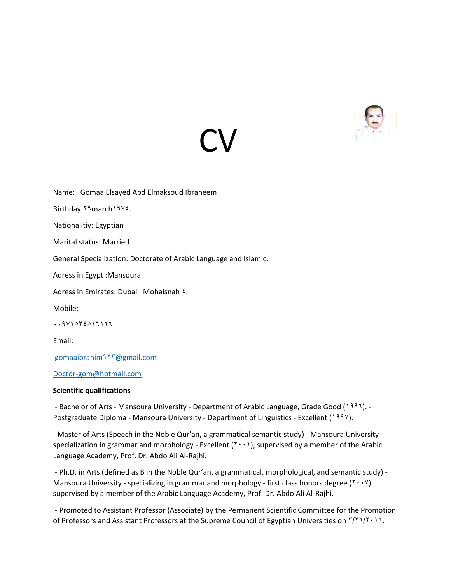

Name: Gomaa Elsayed Abd Elmaksoud Ibraheem Birthday: Y 9 march 19Y 2. Nationalitiy: Egyptian Marital status: Married General Specialization: Doctorate of Arabic Language and Islamic. Adress in Egypt :Mansoura Adress in Emirates: Dubai –Mohaisnah  $\epsilon$ . Mobile:  $.411072017177$ Email: [gomaaibrahim](mailto:gomaaibrahim923@gmail.com)923@gmail.com

**CV** 

[Doctor-gom@hotmail.com](mailto:Doctor-gom@hotmail.com) 

### **Scientific qualifications**

- Bachelor of Arts - Mansoura University - Department of Arabic Language, Grade Good (1997). -Postgraduate Diploma - Mansoura University - Department of Linguistics - Excellent (1997).

- Master of Arts (Speech in the Noble Qur'an, a grammatical semantic study) - Mansoura University specialization in grammar and morphology - Excellent  $(Y \cdots)$ , supervised by a member of the Arabic Language Academy, Prof. Dr. Abdo Ali Al-Rajhi.

- Ph.D. in Arts (defined as B in the Noble Qur'an, a grammatical, morphological, and semantic study) - Mansoura University - specializing in grammar and morphology - first class honors degree ( $\gamma \cdot \gamma$ ) supervised by a member of the Arabic Language Academy, Prof. Dr. Abdo Ali Al-Rajhi.

- Promoted to Assistant Professor (Associate) by the Permanent Scientific Committee for the Promotion of Professors and Assistant Professors at the Supreme Council of Egyptian Universities on  $\frac{r}{\cdot} \cdot \cdot \cdot$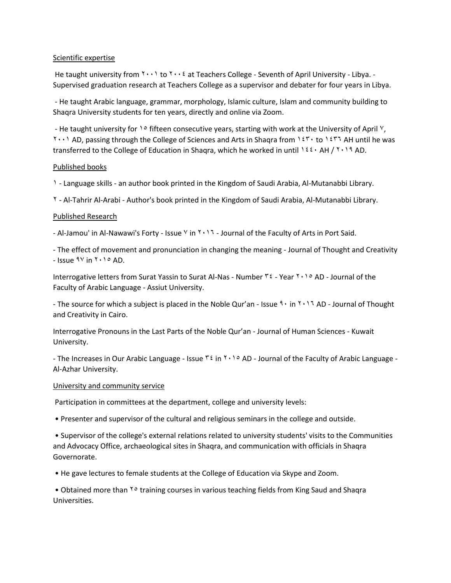## Scientific expertise

He taught university from  $\gamma \cdot \cdot \gamma$  to  $\gamma \cdot \cdot \gamma$  at Teachers College - Seventh of April University - Libya. -Supervised graduation research at Teachers College as a supervisor and debater for four years in Libya.

- He taught Arabic language, grammar, morphology, Islamic culture, Islam and community building to Shaqra University students for ten years, directly and online via Zoom.

- He taught university for  $10$  fifteen consecutive years, starting with work at the University of April  $\frac{1}{2}$ ,  $Y(1)$  AD, passing through the College of Sciences and Arts in Shaqra from  $Y(Y)$  to  $Y(Y)$  AH until he was transferred to the College of Education in Shaqra, which he worked in until  $1 \times 2 \cdot A$ H /  $1 \cdot 1 \cdot A$  AD.

## Published books

1 - Language skills - an author book printed in the Kingdom of Saudi Arabia, Al-Mutanabbi Library.

2 - Al-Tahrir Al-Arabi - Author's book printed in the Kingdom of Saudi Arabia, Al-Mutanabbi Library.

## Published Research

- Al-Jamou' in Al-Nawawi's Forty - Issue  $\vee$  in  $\vee \vee \vee$  - Journal of the Faculty of Arts in Port Said.

- The effect of movement and pronunciation in changing the meaning - Journal of Thought and Creativity - Issue  $9^{\circ}$  in  $3 \cdot 1^{\circ}$  AD.

Interrogative letters from Surat Yassin to Surat Al-Nas - Number  $\tilde{r}$  - Year  $\tilde{r}$   $\cdot$   $\circ$  AD - Journal of the Faculty of Arabic Language - Assiut University.

- The source for which a subject is placed in the Noble Qur'an - Issue  $\frac{1}{2} \cdot \ln \frac{1}{2}$  AD - Journal of Thought and Creativity in Cairo.

Interrogative Pronouns in the Last Parts of the Noble Qur'an - Journal of Human Sciences - Kuwait University.

- The Increases in Our Arabic Language - Issue  $\tilde{r}$  in  $\tilde{r}$  in  $\tilde{r}$  and a Journal of the Faculty of Arabic Language -Al-Azhar University.

### University and community service

Participation in committees at the department, college and university levels:

• Presenter and supervisor of the cultural and religious seminars in the college and outside.

• Supervisor of the college's external relations related to university students' visits to the Communities and Advocacy Office, archaeological sites in Shaqra, and communication with officials in Shaqra Governorate.

• He gave lectures to female students at the College of Education via Skype and Zoom.

• Obtained more than <sup>Yo</sup> training courses in various teaching fields from King Saud and Shaqra Universities.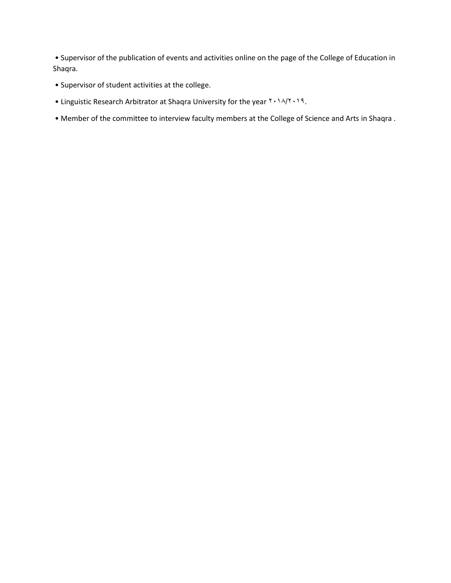• Supervisor of the publication of events and activities online on the page of the College of Education in Shaqra.

- Supervisor of student activities at the college.
- Linguistic Research Arbitrator at Shaqra University for the year  $X \cdot \lambda / X \cdot \lambda$ 9.
- Member of the committee to interview faculty members at the College of Science and Arts in Shaqra .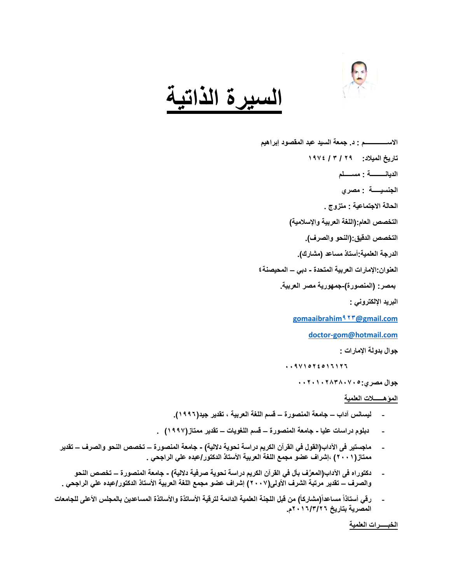

# **السيرة الذاتية**

**االســــــــــــــم : د. جمعة السيد عبد المقصود إبراهيم تاريخ الميالد: 29 / 3 / 1974 الديانـــــــــة : مســـــلم الجنسيـــــة : مصري الحالة االجتماعية : متزوج . التخصص العام:)اللغة العربية واإلسالمية( التخصص الدقيق:)النحو والصرف(. الدرجة العلمية:أستاذ مساعد )مشارك(. العنوان:اإلمارات العربية المتحدة - دبي – المحيصنة4 بمصر: )المنصورة(-جمهورية مصر العربية. البريد اإللكتروني : [gomaaibrahim](mailto:gomaaibrahim923@gmail.com)923@gmail.com [doctor-gom@hotmail.com](mailto:doctor-gom@hotmail.com) جوال بدولة اإلمارات :**

**00971524516126** 

**جوال مصري00201028380705:** 

**المؤهــــــالت العلمية**

- **- ليسانس آداب – جامعة المنصورة – قسم اللغة العربية ، تقدير جيد)1996(.**
- **- دبلوم دراسات عليا - جامعة المنصورة – قسم اللغويات – تقدير ممتاز)1997( .**
- **- ماجستير فى اآلداب)القول في القرآن الكريم دراسة نحوية داللية( - جامعة المنصورة – تخصص النحو والصرف – تقدير ممتاز)2001( ،إشراف عضو مجمع اللغة العربية األستاذ الدكتور/عبده علي الراجحي .**
- **- دكتوراه فى اآلداب)المعَّرف بأل في القرآن الكريم دراسة نحوية صرفية داللية( - جامعة المنصورة – تخصص النحو والصرف – تقدير مرتبة الشرف األولى)2007( إشراف عضو مجمع اللغة العربية األستاذ الدكتور/عبده علي الراجحي .**
- **- رقي أستاذاً مساعداً)مشاركاً( من قبل اللجنة العلمية الدائمة لترقية األساتذة واألساتذة المساعدين بالمجلس األعلى للجامعات المصرية بتاريخ 2016/3/26م.**

**الخبـــــرات العلمية**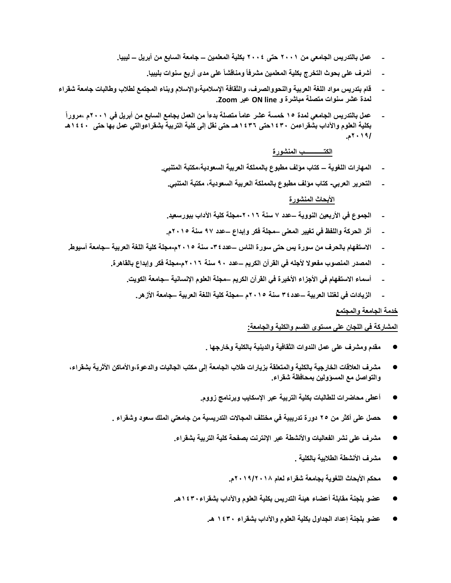- **- عمل بالتدريس الجامعي من 2001 حتى 2004 بكلية المعلمين – جامعة السابع من أبريل – ليبيا.**
	- **- أشرف على بحوث التخرج بكلية المعلمين مشرفاً ومناقشاً على مدى أربع سنوات بليبيا.**
- **- قام بتدريس مواد اللغة العربية والنحووالصرف، والثقافة اإلسالمية،واإلسالم وبناء المجتمع لطالب وطالبات جامعة شقراء لمدة عشر سنوات متصلة مباشرة و line ON عبر Zoom.**
- **- عمل بالتدريس الجامعي لمدة 15 خمسة عشر عاماً متصلة بدءاً من العمل بجامع السابع من أبريل في 2001م ،مروراً بكلية العلوم واآلداب بشقراءمن 1430حتى 1436هــ حتى نقل إلى كلية التربية بشقراءوالتي عمل بها حتى 1440هـ 2019/م.**

### **الكتــــــــــــب المنشورة**

- **- المهارات اللغوية – كتاب مؤلف مطبوع بالمملكة العربية السعودية،مكتبة المتنبي.** 
	- **- التحرير العربي- كتاب مؤلف مطبوع بالمملكة العربية السعودية، مكتبة المتنبي.**

### **األبحاث المنشورة**

- **- الجموع في األربعين النووية –عدد 7 سنة -2016مجلة كلية اآلداب ببورسعيد.**
- **- أثر الحركة واللفظ في تغيير المعنى –مجلة فكر وإبداع –عدد 97 سنة 2015م.**
- **- االستفهام بالحرف من سورة يس حتى سورة الناس –عدد-34 سنة 2015م-مجلة كلية اللغة العربية –جامعة أسيوط.**
	- **- المصدر المنصوب مفعوال ألجله في القرآن الكريم –عدد 90 سنة 2016م-مجلة فكر وإبداع بالقاهرة.**
		- **- أسماء االستفهام في األجزاء األخيرة في القرآن الكريم –مجلة العلوم اإلنسانية –جامعة الكويت.**
			- **- الزيادات في لغتنا العربية –عدد34 سنة 2015م –مجلة كلية اللغة العربية –جامعة األزهر.**

#### **خدمة الجامعة والمجتمع**

## **المشاركة في اللجان على مستوى القسم والكلية والجامعة:**

- **مقدم ومشرف على عمل الندوات الثقافية والدينية بالكلية وخارجها .**
- **مشرف العالقات الخارجية بالكلية والمتعلقة بزيارات طالب الجامعة إلى مكتب الجاليات والدعوة،واألماكن األثرية بشقراء، والتواصل مع المسؤولين بمحافظة شقراء.**
	- **أعطى محاضرات للطالبات بكلية التربية عبر اإلسكايب وبرنامج زووم.**
	- **حصل على أكثر من 25 دورة تدريبية في مختلف المجاالت التدريسية من جامعتي الملك سعود وشقراء .**
		- **مشرف على نشر الفعاليات واألنشطة عبر اإلنترنت بصفحة كلية التربية بشقراء.**
			- **مشرف األنشطة الطالبية بالكلية .**
			- **محكم األبحاث اللغوية بجامعة شقراء لعام 2019/2018م.**
		- **عضو بلجنة مقابلة أعضاء هيئة التدريس بكلية العلوم واآلداب بشقراء1430هـ.**
			- **عضو بلجنة إعداد الجداول بكلية العلوم واآلداب بشقراء 1430 هـ.**